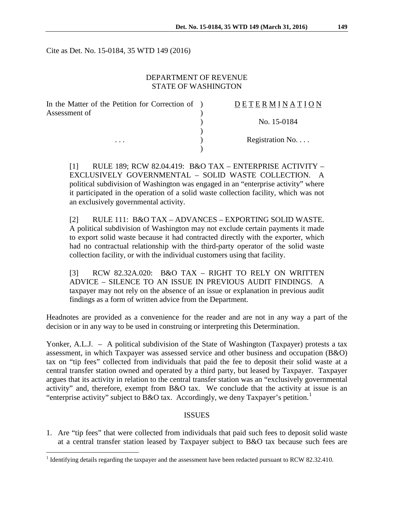Cite as Det. No. 15-0184, 35 WTD 149 (2016)

#### DEPARTMENT OF REVENUE STATE OF WASHINGTON

| In the Matter of the Petition for Correction of ) | <b>DETERMINATION</b> |
|---------------------------------------------------|----------------------|
| Assessment of<br>$\cdots$                         |                      |
|                                                   | No. 15-0184          |
|                                                   | Registration No      |
|                                                   |                      |

[1] RULE 189; RCW 82.04.419: B&O TAX – ENTERPRISE ACTIVITY – EXCLUSIVELY GOVERNMENTAL – SOLID WASTE COLLECTION. A political subdivision of Washington was engaged in an "enterprise activity" where it participated in the operation of a solid waste collection facility, which was not an exclusively governmental activity.

[2] RULE 111: B&O TAX – ADVANCES – EXPORTING SOLID WASTE. A political subdivision of Washington may not exclude certain payments it made to export solid waste because it had contracted directly with the exporter, which had no contractual relationship with the third-party operator of the solid waste collection facility, or with the individual customers using that facility.

[3] RCW 82.32A.020: B&O TAX – RIGHT TO RELY ON WRITTEN ADVICE – SILENCE TO AN ISSUE IN PREVIOUS AUDIT FINDINGS. A taxpayer may not rely on the absence of an issue or explanation in previous audit findings as a form of written advice from the Department.

Headnotes are provided as a convenience for the reader and are not in any way a part of the decision or in any way to be used in construing or interpreting this Determination.

Yonker, A.L.J. – A political subdivision of the State of Washington (Taxpayer) protests a tax assessment, in which Taxpayer was assessed service and other business and occupation (B&O) tax on "tip fees" collected from individuals that paid the fee to deposit their solid waste at a central transfer station owned and operated by a third party, but leased by Taxpayer. Taxpayer argues that its activity in relation to the central transfer station was an "exclusively governmental activity" and, therefore, exempt from B&O tax. We conclude that the activity at issue is an "enterprise activity" subject to B&O tax. Accordingly, we deny Taxpayer's petition.<sup>[1](#page-0-0)</sup>

#### **ISSUES**

1. Are "tip fees" that were collected from individuals that paid such fees to deposit solid waste at a central transfer station leased by Taxpayer subject to B&O tax because such fees are

<span id="page-0-0"></span><sup>&</sup>lt;sup>1</sup> Identifying details regarding the taxpayer and the assessment have been redacted pursuant to RCW 82.32.410.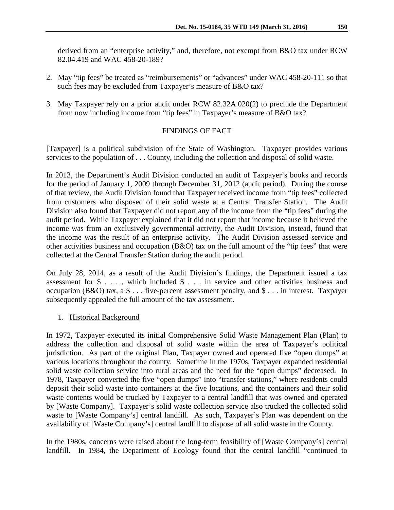derived from an "enterprise activity," and, therefore, not exempt from B&O tax under RCW 82.04.419 and WAC 458-20-189?

- 2. May "tip fees" be treated as "reimbursements" or "advances" under WAC 458-20-111 so that such fees may be excluded from Taxpayer's measure of B&O tax?
- 3. May Taxpayer rely on a prior audit under RCW 82.32A.020(2) to preclude the Department from now including income from "tip fees" in Taxpayer's measure of B&O tax?

## FINDINGS OF FACT

[Taxpayer] is a political subdivision of the State of Washington. Taxpayer provides various services to the population of . . . County, including the collection and disposal of solid waste.

In 2013, the Department's Audit Division conducted an audit of Taxpayer's books and records for the period of January 1, 2009 through December 31, 2012 (audit period). During the course of that review, the Audit Division found that Taxpayer received income from "tip fees" collected from customers who disposed of their solid waste at a Central Transfer Station. The Audit Division also found that Taxpayer did not report any of the income from the "tip fees" during the audit period. While Taxpayer explained that it did not report that income because it believed the income was from an exclusively governmental activity, the Audit Division, instead, found that the income was the result of an enterprise activity. The Audit Division assessed service and other activities business and occupation (B&O) tax on the full amount of the "tip fees" that were collected at the Central Transfer Station during the audit period.

On July 28, 2014, as a result of the Audit Division's findings, the Department issued a tax assessment for \$ . . . , which included \$ . . . in service and other activities business and occupation (B&O) tax, a \$ . . . five-percent assessment penalty, and \$ . . . in interest. Taxpayer subsequently appealed the full amount of the tax assessment.

## 1. Historical Background

In 1972, Taxpayer executed its initial Comprehensive Solid Waste Management Plan (Plan) to address the collection and disposal of solid waste within the area of Taxpayer's political jurisdiction. As part of the original Plan, Taxpayer owned and operated five "open dumps" at various locations throughout the county. Sometime in the 1970s, Taxpayer expanded residential solid waste collection service into rural areas and the need for the "open dumps" decreased. In 1978, Taxpayer converted the five "open dumps" into "transfer stations," where residents could deposit their solid waste into containers at the five locations, and the containers and their solid waste contents would be trucked by Taxpayer to a central landfill that was owned and operated by [Waste Company]. Taxpayer's solid waste collection service also trucked the collected solid waste to [Waste Company's] central landfill. As such, Taxpayer's Plan was dependent on the availability of [Waste Company's] central landfill to dispose of all solid waste in the County.

In the 1980s, concerns were raised about the long-term feasibility of [Waste Company's] central landfill. In 1984, the Department of Ecology found that the central landfill "continued to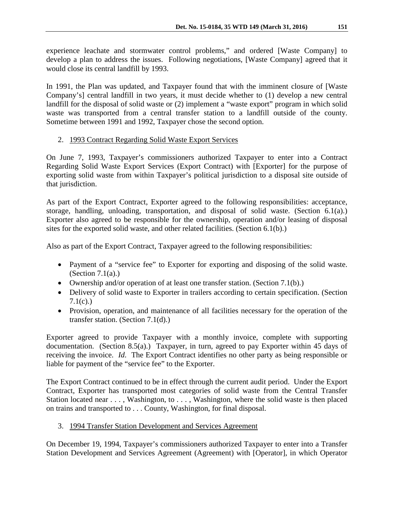experience leachate and stormwater control problems," and ordered [Waste Company] to develop a plan to address the issues. Following negotiations, [Waste Company] agreed that it would close its central landfill by 1993.

In 1991, the Plan was updated, and Taxpayer found that with the imminent closure of [Waste Company's] central landfill in two years, it must decide whether to (1) develop a new central landfill for the disposal of solid waste or (2) implement a "waste export" program in which solid waste was transported from a central transfer station to a landfill outside of the county. Sometime between 1991 and 1992, Taxpayer chose the second option.

## 2. 1993 Contract Regarding Solid Waste Export Services

On June 7, 1993, Taxpayer's commissioners authorized Taxpayer to enter into a Contract Regarding Solid Waste Export Services (Export Contract) with [Exporter] for the purpose of exporting solid waste from within Taxpayer's political jurisdiction to a disposal site outside of that jurisdiction.

As part of the Export Contract, Exporter agreed to the following responsibilities: acceptance, storage, handling, unloading, transportation, and disposal of solid waste. (Section 6.1(a).) Exporter also agreed to be responsible for the ownership, operation and/or leasing of disposal sites for the exported solid waste, and other related facilities. (Section 6.1(b).)

Also as part of the Export Contract, Taxpayer agreed to the following responsibilities:

- Payment of a "service fee" to Exporter for exporting and disposing of the solid waste. (Section  $7.1(a)$ .)
- Ownership and/or operation of at least one transfer station. (Section 7.1(b).)
- Delivery of solid waste to Exporter in trailers according to certain specification. (Section  $7.1(c)$ .)
- Provision, operation, and maintenance of all facilities necessary for the operation of the transfer station. (Section 7.1(d).)

Exporter agreed to provide Taxpayer with a monthly invoice, complete with supporting documentation. (Section 8.5(a).) Taxpayer, in turn, agreed to pay Exporter within 45 days of receiving the invoice. *Id.* The Export Contract identifies no other party as being responsible or liable for payment of the "service fee" to the Exporter.

The Export Contract continued to be in effect through the current audit period. Under the Export Contract, Exporter has transported most categories of solid waste from the Central Transfer Station located near . . . , Washington, to . . . , Washington, where the solid waste is then placed on trains and transported to . . . County, Washington, for final disposal.

# 3. 1994 Transfer Station Development and Services Agreement

On December 19, 1994, Taxpayer's commissioners authorized Taxpayer to enter into a Transfer Station Development and Services Agreement (Agreement) with [Operator], in which Operator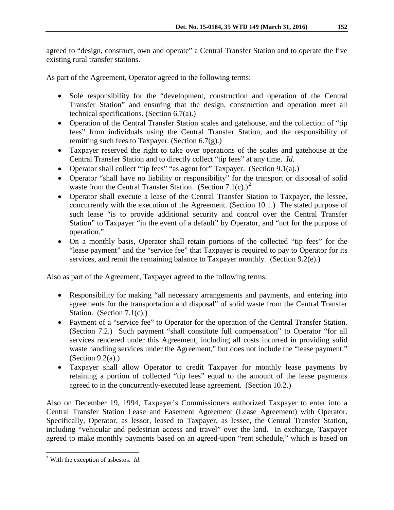agreed to "design, construct, own and operate" a Central Transfer Station and to operate the five existing rural transfer stations.

As part of the Agreement, Operator agreed to the following terms:

- Sole responsibility for the "development, construction and operation of the Central Transfer Station" and ensuring that the design, construction and operation meet all technical specifications. (Section 6.7(a).)
- Operation of the Central Transfer Station scales and gatehouse, and the collection of "tip fees" from individuals using the Central Transfer Station, and the responsibility of remitting such fees to Taxpayer. (Section 6.7(g).)
- Taxpayer reserved the right to take over operations of the scales and gatehouse at the Central Transfer Station and to directly collect "tip fees" at any time. *Id.*
- Operator shall collect "tip fees" "as agent for" Taxpayer. (Section 9.1(a).)
- Operator "shall have no liability or responsibility" for the transport or disposal of solid waste from the Central Transfer Station. (Section 7.1(c).)<sup>[2](#page-3-0)</sup>
- Operator shall execute a lease of the Central Transfer Station to Taxpayer, the lessee, concurrently with the execution of the Agreement. (Section 10.1.) The stated purpose of such lease "is to provide additional security and control over the Central Transfer Station" to Taxpayer "in the event of a default" by Operator, and "not for the purpose of operation."
- On a monthly basis, Operator shall retain portions of the collected "tip fees" for the "lease payment" and the "service fee" that Taxpayer is required to pay to Operator for its services, and remit the remaining balance to Taxpayer monthly. (Section 9.2(e).)

Also as part of the Agreement, Taxpayer agreed to the following terms:

- Responsibility for making "all necessary arrangements and payments, and entering into agreements for the transportation and disposal" of solid waste from the Central Transfer Station. (Section 7.1(c).)
- Payment of a "service fee" to Operator for the operation of the Central Transfer Station. (Section 7.2.) Such payment "shall constitute full compensation" to Operator "for all services rendered under this Agreement, including all costs incurred in providing solid waste handling services under the Agreement," but does not include the "lease payment." (Section  $9.2(a)$ .)
- Taxpayer shall allow Operator to credit Taxpayer for monthly lease payments by retaining a portion of collected "tip fees" equal to the amount of the lease payments agreed to in the concurrently-executed lease agreement. (Section 10.2.)

Also on December 19, 1994, Taxpayer's Commissioners authorized Taxpayer to enter into a Central Transfer Station Lease and Easement Agreement (Lease Agreement) with Operator. Specifically, Operator, as lessor, leased to Taxpayer, as lessee, the Central Transfer Station, including "vehicular and pedestrian access and travel" over the land. In exchange, Taxpayer agreed to make monthly payments based on an agreed-upon "rent schedule," which is based on

<span id="page-3-0"></span> <sup>2</sup> With the exception of asbestos. *Id.*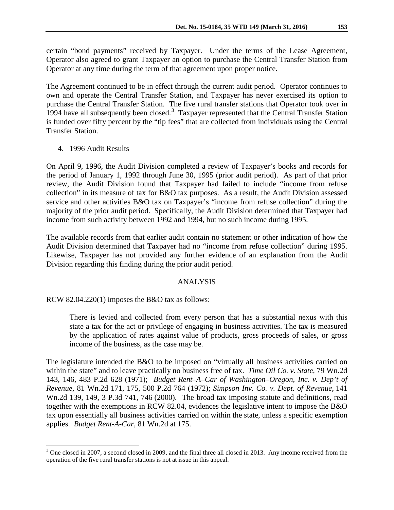certain "bond payments" received by Taxpayer. Under the terms of the Lease Agreement, Operator also agreed to grant Taxpayer an option to purchase the Central Transfer Station from Operator at any time during the term of that agreement upon proper notice.

The Agreement continued to be in effect through the current audit period. Operator continues to own and operate the Central Transfer Station, and Taxpayer has never exercised its option to purchase the Central Transfer Station. The five rural transfer stations that Operator took over in 1994 have all subsequently been closed.<sup>[3](#page-4-0)</sup> Taxpayer represented that the Central Transfer Station is funded over fifty percent by the "tip fees" that are collected from individuals using the Central Transfer Station.

#### 4. 1996 Audit Results

On April 9, 1996, the Audit Division completed a review of Taxpayer's books and records for the period of January 1, 1992 through June 30, 1995 (prior audit period). As part of that prior review, the Audit Division found that Taxpayer had failed to include "income from refuse collection" in its measure of tax for B&O tax purposes. As a result, the Audit Division assessed service and other activities B&O tax on Taxpayer's "income from refuse collection" during the majority of the prior audit period. Specifically, the Audit Division determined that Taxpayer had income from such activity between 1992 and 1994, but no such income during 1995.

The available records from that earlier audit contain no statement or other indication of how the Audit Division determined that Taxpayer had no "income from refuse collection" during 1995. Likewise, Taxpayer has not provided any further evidence of an explanation from the Audit Division regarding this finding during the prior audit period.

#### ANALYSIS

RCW 82.04.220(1) imposes the B&O tax as follows:

There is levied and collected from every person that has a substantial nexus with this state a tax for the act or privilege of engaging in business activities. The tax is measured by the application of rates against value of products, gross proceeds of sales, or gross income of the business, as the case may be.

The legislature intended the B&O to be imposed on "virtually all business activities carried on within the state" and to leave practically no business free of tax. *Time Oil Co. v. State,* 79 Wn.2d 143, 146, 483 P.2d 628 (1971); *Budget Rent–A–Car of Washington–Oregon, Inc. v. Dep't of Revenue,* 81 Wn.2d 171, 175, 500 P.2d 764 (1972); *Simpson Inv. Co. v. Dept. of Revenue*, 141 Wn.2d 139, 149, 3 P.3d 741, 746 (2000). The broad tax imposing statute and definitions, read together with the exemptions in RCW 82.04, evidences the legislative intent to impose the B&O tax upon essentially all business activities carried on within the state, unless a specific exemption applies. *Budget Rent-A-Car*, 81 Wn.2d at 175.

<span id="page-4-0"></span><sup>&</sup>lt;sup>3</sup> One closed in 2007, a second closed in 2009, and the final three all closed in 2013. Any income received from the operation of the five rural transfer stations is not at issue in this appeal.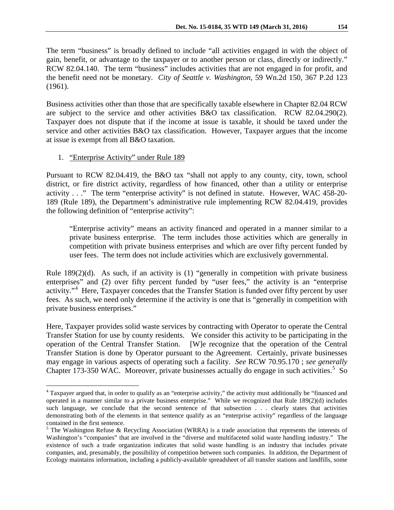The term "business" is broadly defined to include "all activities engaged in with the object of gain, benefit, or advantage to the taxpayer or to another person or class, directly or indirectly." RCW 82.04.140. The term "business" includes activities that are not engaged in for profit, and the benefit need not be monetary. *City of Seattle v. Washington*, 59 Wn.2d 150, 367 P.2d 123 (1961).

Business activities other than those that are specifically taxable elsewhere in Chapter 82.04 RCW are subject to the service and other activities B&O tax classification. RCW 82.04.290(2). Taxpayer does not dispute that if the income at issue is taxable, it should be taxed under the service and other activities B&O tax classification. However, Taxpayer argues that the income at issue is exempt from all B&O taxation.

### 1. "Enterprise Activity" under Rule 189

Pursuant to RCW 82.04.419, the B&O tax "shall not apply to any county, city, town, school district, or fire district activity, regardless of how financed, other than a utility or enterprise activity . . ." The term "enterprise activity" is not defined in statute. However, WAC 458-20- 189 (Rule 189), the Department's administrative rule implementing RCW 82.04.419, provides the following definition of "enterprise activity":

"Enterprise activity" means an activity financed and operated in a manner similar to a private business enterprise. The term includes those activities which are generally in competition with private business enterprises and which are over fifty percent funded by user fees. The term does not include activities which are exclusively governmental.

Rule  $189(2)(d)$ . As such, if an activity is (1) "generally in competition with private business enterprises" and (2) over fifty percent funded by "user fees," the activity is an "enterprise activity."<sup>[4](#page-5-0)</sup> Here, Taxpayer concedes that the Transfer Station is funded over fifty percent by user fees. As such, we need only determine if the activity is one that is "generally in competition with private business enterprises."

Here, Taxpayer provides solid waste services by contracting with Operator to operate the Central Transfer Station for use by county residents. We consider this activity to be participating in the operation of the Central Transfer Station. [W]e recognize that the operation of the Central Transfer Station is done by Operator pursuant to the Agreement. Certainly, private businesses may engage in various aspects of operating such a facility. *See* RCW 70.95.170 ; *see generally*  Chapter 173-3[5](#page-5-1)0 WAC. Moreover, private businesses actually do engage in such activities.<sup>5</sup> So

<span id="page-5-0"></span><sup>&</sup>lt;sup>4</sup> Taxpayer argued that, in order to qualify as an "enterprise activity," the activity must additionally be "financed and operated in a manner similar to a private business enterprise." While we recognized that Rule 189(2)(d) includes such language, we conclude that the second sentence of that subsection . . . clearly states that activities demonstrating both of the elements in that sentence qualify as an "enterprise activity" regardless of the language contained in the first sentence.

<span id="page-5-1"></span> $5$  The Washington Refuse & Recycling Association (WRRA) is a trade association that represents the interests of Washington's "companies" that are involved in the "diverse and multifaceted solid waste handling industry." The existence of such a trade organization indicates that solid waste handling is an industry that includes private companies, and, presumably, the possibility of competition between such companies. In addition, the Department of Ecology maintains information, including a publicly-available spreadsheet of all transfer stations and landfills, some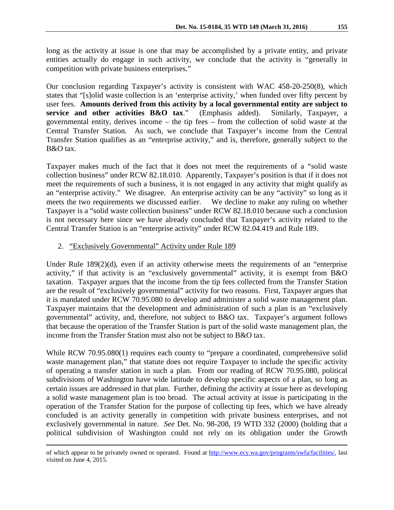long as the activity at issue is one that may be accomplished by a private entity, and private entities actually do engage in such activity, we conclude that the activity is "generally in competition with private business enterprises."

Our conclusion regarding Taxpayer's activity is consistent with WAC 458-20-250(8), which states that "[s]olid waste collection is an 'enterprise activity,' when funded over fifty percent by user fees. Amounts derived from this activity by a local governmental entity are subject to service and other activities B&O tax." (Emphasis added). Similarly, Taxpaver, a **service and other activities B&O tax."** (Emphasis added). governmental entity, derives income – the tip fees – from the collection of solid waste at the Central Transfer Station. As such, we conclude that Taxpayer's income from the Central Transfer Station qualifies as an "enterprise activity," and is, therefore, generally subject to the B&O tax.

Taxpayer makes much of the fact that it does not meet the requirements of a "solid waste collection business" under RCW 82.18.010. Apparently, Taxpayer's position is that if it does not meet the requirements of such a business, it is not engaged in any activity that might qualify as an "enterprise activity." We disagree. An enterprise activity can be any "activity" so long as it meets the two requirements we discussed earlier. We decline to make any ruling on whether Taxpayer is a "solid waste collection business" under RCW 82.18.010 because such a conclusion is not necessary here since we have already concluded that Taxpayer's activity related to the Central Transfer Station is an "enterprise activity" under RCW 82.04.419 and Rule 189.

# 2. "Exclusively Governmental" Activity under Rule 189

 $\overline{a}$ 

Under Rule 189(2)(d), even if an activity otherwise meets the requirements of an "enterprise activity," if that activity is an "exclusively governmental" activity, it is exempt from B&O taxation. Taxpayer argues that the income from the tip fees collected from the Transfer Station are the result of "exclusively governmental" activity for two reasons. First, Taxpayer argues that it is mandated under RCW 70.95.080 to develop and administer a solid waste management plan. Taxpayer maintains that the development and administration of such a plan is an "exclusively governmental" activity, and, therefore, not subject to B&O tax. Taxpayer's argument follows that because the operation of the Transfer Station is part of the solid waste management plan, the income from the Transfer Station must also not be subject to B&O tax.

While RCW 70.95.080(1) requires each county to "prepare a coordinated, comprehensive solid waste management plan," that statute does not require Taxpayer to include the specific activity of operating a transfer station in such a plan. From our reading of RCW 70.95.080, political subdivisions of Washington have wide latitude to develop specific aspects of a plan, so long as certain issues are addressed in that plan. Further, defining the activity at issue here as developing a solid waste management plan is too broad. The actual activity at issue is participating in the operation of the Transfer Station for the purpose of collecting tip fees, which we have already concluded is an activity generally in competition with private business enterprises, and not exclusively governmental in nature. *See* Det. No. 98-208, 19 WTD 332 (2000) (holding that a political subdivision of Washington could not rely on its obligation under the Growth

of which appear to be privately owned or operated. Found at [http://www.ecy.wa.gov/programs/swfa/facilities/,](http://www.ecy.wa.gov/programs/swfa/facilities/) last visited on June 4, 2015.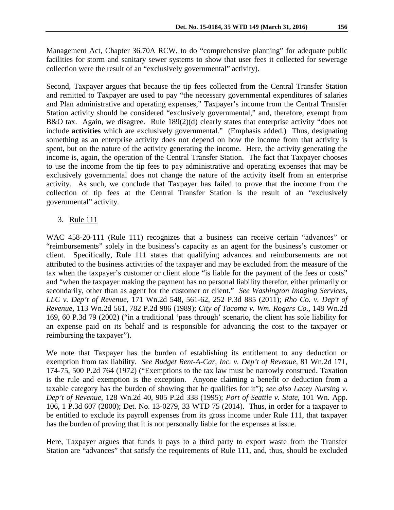Management Act, Chapter 36.70A RCW, to do "comprehensive planning" for adequate public facilities for storm and sanitary sewer systems to show that user fees it collected for sewerage collection were the result of an "exclusively governmental" activity).

Second, Taxpayer argues that because the tip fees collected from the Central Transfer Station and remitted to Taxpayer are used to pay "the necessary governmental expenditures of salaries and Plan administrative and operating expenses," Taxpayer's income from the Central Transfer Station activity should be considered "exclusively governmental," and, therefore, exempt from B&O tax. Again, we disagree. Rule 189(2)(d) clearly states that enterprise activity "does not include **activities** which are exclusively governmental." (Emphasis added.) Thus, designating something as an enterprise activity does not depend on how the income from that activity is spent, but on the nature of the activity generating the income. Here, the activity generating the income is, again, the operation of the Central Transfer Station. The fact that Taxpayer chooses to use the income from the tip fees to pay administrative and operating expenses that may be exclusively governmental does not change the nature of the activity itself from an enterprise activity. As such, we conclude that Taxpayer has failed to prove that the income from the collection of tip fees at the Central Transfer Station is the result of an "exclusively governmental" activity.

3. Rule 111

WAC 458-20-111 (Rule 111) recognizes that a business can receive certain "advances" or "reimbursements" solely in the business's capacity as an agent for the business's customer or client. Specifically, Rule 111 states that qualifying advances and reimbursements are not attributed to the business activities of the taxpayer and may be excluded from the measure of the tax when the taxpayer's customer or client alone "is liable for the payment of the fees or costs" and "when the taxpayer making the payment has no personal liability therefor, either primarily or secondarily, other than as agent for the customer or client." *See Washington Imaging Services, LLC v. Dep't of Revenue*, 171 Wn.2d 548, 561-62, 252 P.3d 885 (2011); *Rho Co. v. Dep't of Revenue,* 113 Wn.2d 561, 782 P.2d 986 (1989); *City of Tacoma v. Wm. Rogers Co.*, 148 Wn.2d 169, 60 P.3d 79 (2002) ("in a traditional 'pass through' scenario, the client has sole liability for an expense paid on its behalf and is responsible for advancing the cost to the taxpayer or reimbursing the taxpayer").

We note that Taxpayer has the burden of establishing its entitlement to any deduction or exemption from tax liability. *See Budget Rent-A-Car, Inc. v. Dep't of Revenue,* 81 Wn.2d 171, 174-75, 500 P.2d 764 (1972) ("Exemptions to the tax law must be narrowly construed. Taxation is the rule and exemption is the exception. Anyone claiming a benefit or deduction from a taxable category has the burden of showing that he qualifies for it"); *see also Lacey Nursing v. Dep't of Revenue,* 128 Wn.2d 40, 905 P.2d 338 (1995); *Port of Seattle v. State,* 101 Wn. App. 106, 1 P.3d 607 (2000); Det. No. 13-0279, 33 WTD 75 (2014). Thus, in order for a taxpayer to be entitled to exclude its payroll expenses from its gross income under Rule 111, that taxpayer has the burden of proving that it is not personally liable for the expenses at issue.

Here, Taxpayer argues that funds it pays to a third party to export waste from the Transfer Station are "advances" that satisfy the requirements of Rule 111, and, thus, should be excluded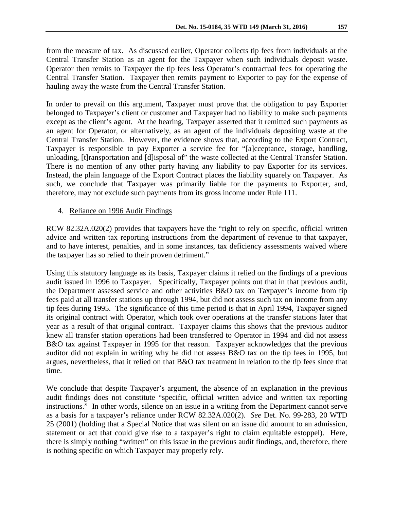from the measure of tax. As discussed earlier, Operator collects tip fees from individuals at the Central Transfer Station as an agent for the Taxpayer when such individuals deposit waste. Operator then remits to Taxpayer the tip fees less Operator's contractual fees for operating the Central Transfer Station. Taxpayer then remits payment to Exporter to pay for the expense of hauling away the waste from the Central Transfer Station.

In order to prevail on this argument, Taxpayer must prove that the obligation to pay Exporter belonged to Taxpayer's client or customer and Taxpayer had no liability to make such payments except as the client's agent. At the hearing, Taxpayer asserted that it remitted such payments as an agent for Operator, or alternatively, as an agent of the individuals depositing waste at the Central Transfer Station. However, the evidence shows that, according to the Export Contract, Taxpayer is responsible to pay Exporter a service fee for "[a]cceptance, storage, handling, unloading, [t]ransportation and [d]isposal of" the waste collected at the Central Transfer Station. There is no mention of any other party having any liability to pay Exporter for its services. Instead, the plain language of the Export Contract places the liability squarely on Taxpayer. As such, we conclude that Taxpayer was primarily liable for the payments to Exporter, and, therefore, may not exclude such payments from its gross income under Rule 111.

### 4. Reliance on 1996 Audit Findings

RCW 82.32A.020(2) provides that taxpayers have the "right to rely on specific, official written advice and written tax reporting instructions from the department of revenue to that taxpayer, and to have interest, penalties, and in some instances, tax deficiency assessments waived where the taxpayer has so relied to their proven detriment."

Using this statutory language as its basis, Taxpayer claims it relied on the findings of a previous audit issued in 1996 to Taxpayer. Specifically, Taxpayer points out that in that previous audit, the Department assessed service and other activities B&O tax on Taxpayer's income from tip fees paid at all transfer stations up through 1994, but did not assess such tax on income from any tip fees during 1995. The significance of this time period is that in April 1994, Taxpayer signed its original contract with Operator, which took over operations at the transfer stations later that year as a result of that original contract. Taxpayer claims this shows that the previous auditor knew all transfer station operations had been transferred to Operator in 1994 and did not assess B&O tax against Taxpayer in 1995 for that reason. Taxpayer acknowledges that the previous auditor did not explain in writing why he did not assess B&O tax on the tip fees in 1995, but argues, nevertheless, that it relied on that B&O tax treatment in relation to the tip fees since that time.

We conclude that despite Taxpayer's argument, the absence of an explanation in the previous audit findings does not constitute "specific, official written advice and written tax reporting instructions." In other words, silence on an issue in a writing from the Department cannot serve as a basis for a taxpayer's reliance under RCW 82.32A.020(2). *See* Det. No. 99-283, 20 WTD 25 (2001) (holding that a Special Notice that was silent on an issue did amount to an admission, statement or act that could give rise to a taxpayer's right to claim equitable estoppel). Here, there is simply nothing "written" on this issue in the previous audit findings, and, therefore, there is nothing specific on which Taxpayer may properly rely.